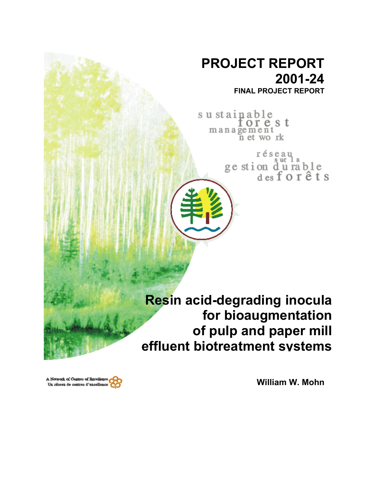# **PROJECT REPORT 2001-24 FINAL PROJECT REPORT**

sustainable orest management<br>net work

> réseau ge stion durable<br>desforêts

**Resin acid-degrading inocula for bioaugmentation of pulp and paper mill effluent biotreatment systems**

**William W. Mohn**

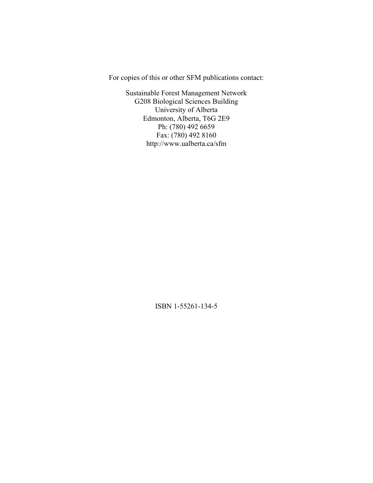For copies of this or other SFM publications contact:

Sustainable Forest Management Network G208 Biological Sciences Building University of Alberta Edmonton, Alberta, T6G 2E9 Ph: (780) 492 6659 Fax: (780) 492 8160 http://www.ualberta.ca/sfm

ISBN 1-55261-134-5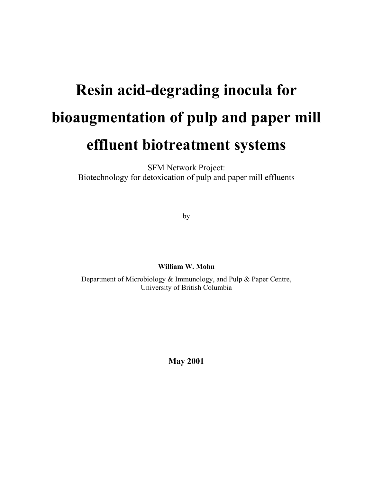# **Resin acid-degrading inocula for bioaugmentation of pulp and paper mill effluent biotreatment systems**

SFM Network Project: Biotechnology for detoxication of pulp and paper mill effluents

by

**William W. Mohn** 

Department of Microbiology & Immunology, and Pulp & Paper Centre, University of British Columbia

**May 2001**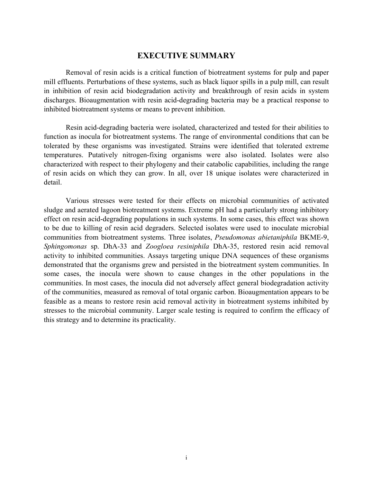#### **EXECUTIVE SUMMARY**

Removal of resin acids is a critical function of biotreatment systems for pulp and paper mill effluents. Perturbations of these systems, such as black liquor spills in a pulp mill, can result in inhibition of resin acid biodegradation activity and breakthrough of resin acids in system discharges. Bioaugmentation with resin acid-degrading bacteria may be a practical response to inhibited biotreatment systems or means to prevent inhibition.

Resin acid-degrading bacteria were isolated, characterized and tested for their abilities to function as inocula for biotreatment systems. The range of environmental conditions that can be tolerated by these organisms was investigated. Strains were identified that tolerated extreme temperatures. Putatively nitrogen-fixing organisms were also isolated. Isolates were also characterized with respect to their phylogeny and their catabolic capabilities, including the range of resin acids on which they can grow. In all, over 18 unique isolates were characterized in detail.

Various stresses were tested for their effects on microbial communities of activated sludge and aerated lagoon biotreatment systems. Extreme pH had a particularly strong inhibitory effect on resin acid-degrading populations in such systems. In some cases, this effect was shown to be due to killing of resin acid degraders. Selected isolates were used to inoculate microbial communities from biotreatment systems. Three isolates, *Pseudomonas abietaniphila* BKME-9, *Sphingomonas* sp. DhA-33 and *Zoogloea resiniphila* DhA-35, restored resin acid removal activity to inhibited communities. Assays targeting unique DNA sequences of these organisms demonstrated that the organisms grew and persisted in the biotreatment system communities. In some cases, the inocula were shown to cause changes in the other populations in the communities. In most cases, the inocula did not adversely affect general biodegradation activity of the communities, measured as removal of total organic carbon. Bioaugmentation appears to be feasible as a means to restore resin acid removal activity in biotreatment systems inhibited by stresses to the microbial community. Larger scale testing is required to confirm the efficacy of this strategy and to determine its practicality.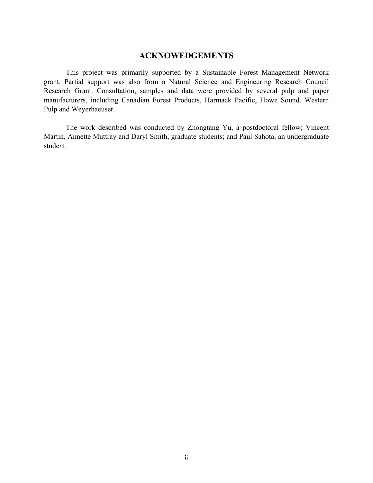### **ACKNOWEDGEMENTS**

This project was primarily supported by a Sustainable Forest Management Network grant. Partial support was also from a Natural Science and Engineering Research Council Research Grant. Consultation, samples and data were provided by several pulp and paper manufacturers, including Canadian Forest Products, Harmack Pacific, Howe Sound, Western Pulp and Weyerhaeuser.

The work described was conducted by Zhongtang Yu, a postdoctoral fellow; Vincent Martin, Annette Muttray and Daryl Smith, graduate students; and Paul Sahota, an undergraduate student.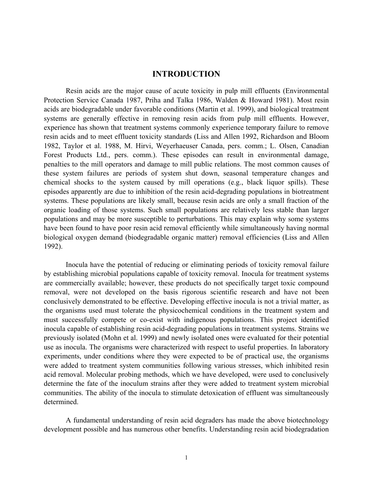#### **INTRODUCTION**

Resin acids are the major cause of acute toxicity in pulp mill effluents (Environmental Protection Service Canada 1987, Priha and Talka 1986, Walden & Howard 1981). Most resin acids are biodegradable under favorable conditions (Martin et al. 1999), and biological treatment systems are generally effective in removing resin acids from pulp mill effluents. However, experience has shown that treatment systems commonly experience temporary failure to remove resin acids and to meet effluent toxicity standards (Liss and Allen 1992, Richardson and Bloom 1982, Taylor et al. 1988, M. Hirvi, Weyerhaeuser Canada, pers. comm.; L. Olsen, Canadian Forest Products Ltd., pers. comm.). These episodes can result in environmental damage, penalties to the mill operators and damage to mill public relations. The most common causes of these system failures are periods of system shut down, seasonal temperature changes and chemical shocks to the system caused by mill operations (e.g., black liquor spills). These episodes apparently are due to inhibition of the resin acid-degrading populations in biotreatment systems. These populations are likely small, because resin acids are only a small fraction of the organic loading of those systems. Such small populations are relatively less stable than larger populations and may be more susceptible to perturbations. This may explain why some systems have been found to have poor resin acid removal efficiently while simultaneously having normal biological oxygen demand (biodegradable organic matter) removal efficiencies (Liss and Allen 1992).

Inocula have the potential of reducing or eliminating periods of toxicity removal failure by establishing microbial populations capable of toxicity removal. Inocula for treatment systems are commercially available; however, these products do not specifically target toxic compound removal, were not developed on the basis rigorous scientific research and have not been conclusively demonstrated to be effective. Developing effective inocula is not a trivial matter, as the organisms used must tolerate the physicochemical conditions in the treatment system and must successfully compete or co-exist with indigenous populations. This project identified inocula capable of establishing resin acid-degrading populations in treatment systems. Strains we previously isolated (Mohn et al. 1999) and newly isolated ones were evaluated for their potential use as inocula. The organisms were characterized with respect to useful properties. In laboratory experiments, under conditions where they were expected to be of practical use, the organisms were added to treatment system communities following various stresses, which inhibited resin acid removal. Molecular probing methods, which we have developed, were used to conclusively determine the fate of the inoculum strains after they were added to treatment system microbial communities. The ability of the inocula to stimulate detoxication of effluent was simultaneously determined.

A fundamental understanding of resin acid degraders has made the above biotechnology development possible and has numerous other benefits. Understanding resin acid biodegradation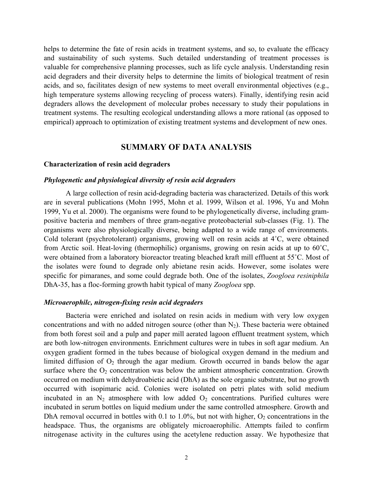helps to determine the fate of resin acids in treatment systems, and so, to evaluate the efficacy and sustainability of such systems. Such detailed understanding of treatment processes is valuable for comprehensive planning processes, such as life cycle analysis. Understanding resin acid degraders and their diversity helps to determine the limits of biological treatment of resin acids, and so, facilitates design of new systems to meet overall environmental objectives (e.g., high temperature systems allowing recycling of process waters). Finally, identifying resin acid degraders allows the development of molecular probes necessary to study their populations in treatment systems. The resulting ecological understanding allows a more rational (as opposed to empirical) approach to optimization of existing treatment systems and development of new ones.

#### **SUMMARY OF DATA ANALYSIS**

#### **Characterization of resin acid degraders**

#### *Phylogenetic and physiological diversity of resin acid degraders*

A large collection of resin acid-degrading bacteria was characterized. Details of this work are in several publications (Mohn 1995, Mohn et al. 1999, Wilson et al. 1996, Yu and Mohn 1999, Yu et al. 2000). The organisms were found to be phylogenetically diverse, including grampositive bacteria and members of three gram-negative proteobacterial sub-classes (Fig. 1). The organisms were also physiologically diverse, being adapted to a wide range of environments. Cold tolerant (psychrotolerant) organisms, growing well on resin acids at 4˚C, were obtained from Arctic soil. Heat-loving (thermophilic) organisms, growing on resin acids at up to 60˚C, were obtained from a laboratory bioreactor treating bleached kraft mill effluent at 55˚C. Most of the isolates were found to degrade only abietane resin acids. However, some isolates were specific for pimaranes, and some could degrade both. One of the isolates, *Zoogloea resiniphila*  DhA-35, has a floc-forming growth habit typical of many *Zoogloea* spp.

#### *Microaerophilc, nitrogen-fixing resin acid degraders*

Bacteria were enriched and isolated on resin acids in medium with very low oxygen concentrations and with no added nitrogen source (other than  $N_2$ ). These bacteria were obtained from both forest soil and a pulp and paper mill aerated lagoon effluent treatment system, which are both low-nitrogen environments. Enrichment cultures were in tubes in soft agar medium. An oxygen gradient formed in the tubes because of biological oxygen demand in the medium and limited diffusion of  $O_2$  through the agar medium. Growth occurred in bands below the agar surface where the  $O_2$  concentration was below the ambient atmospheric concentration. Growth occurred on medium with dehydroabietic acid (DhA) as the sole organic substrate, but no growth occurred with isopimaric acid. Colonies were isolated on petri plates with solid medium incubated in an  $N_2$  atmosphere with low added  $O_2$  concentrations. Purified cultures were incubated in serum bottles on liquid medium under the same controlled atmosphere. Growth and DhA removal occurred in bottles with  $0.1$  to  $1.0\%$ , but not with higher,  $O_2$  concentrations in the headspace. Thus, the organisms are obligately microaerophilic. Attempts failed to confirm nitrogenase activity in the cultures using the acetylene reduction assay. We hypothesize that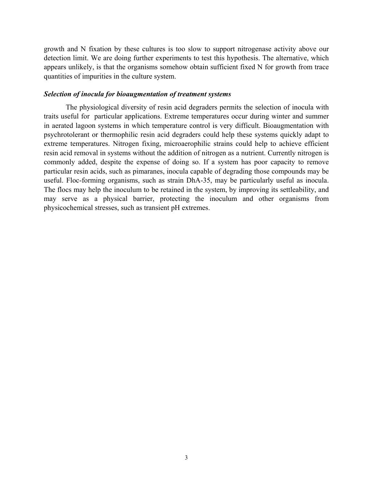growth and N fixation by these cultures is too slow to support nitrogenase activity above our detection limit. We are doing further experiments to test this hypothesis. The alternative, which appears unlikely, is that the organisms somehow obtain sufficient fixed N for growth from trace quantities of impurities in the culture system.

#### *Selection of inocula for bioaugmentation of treatment systems*

The physiological diversity of resin acid degraders permits the selection of inocula with traits useful for particular applications. Extreme temperatures occur during winter and summer in aerated lagoon systems in which temperature control is very difficult. Bioaugmentation with psychrotolerant or thermophilic resin acid degraders could help these systems quickly adapt to extreme temperatures. Nitrogen fixing, microaerophilic strains could help to achieve efficient resin acid removal in systems without the addition of nitrogen as a nutrient. Currently nitrogen is commonly added, despite the expense of doing so. If a system has poor capacity to remove particular resin acids, such as pimaranes, inocula capable of degrading those compounds may be useful. Floc-forming organisms, such as strain DhA-35, may be particularly useful as inocula. The flocs may help the inoculum to be retained in the system, by improving its settleability, and may serve as a physical barrier, protecting the inoculum and other organisms from physicochemical stresses, such as transient pH extremes.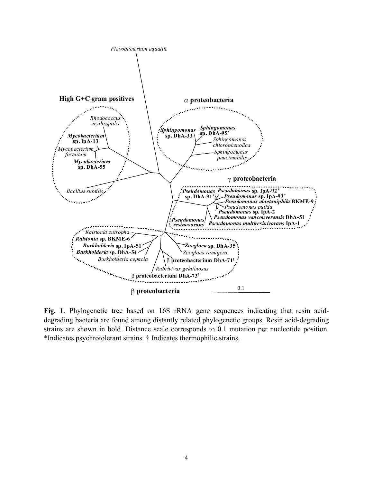

**Fig. 1.** Phylogenetic tree based on 16S rRNA gene sequences indicating that resin aciddegrading bacteria are found among distantly related phylogenetic groups. Resin acid-degrading strains are shown in bold. Distance scale corresponds to 0.1 mutation per nucleotide position. \*Indicates psychrotolerant strains. † Indicates thermophilic strains.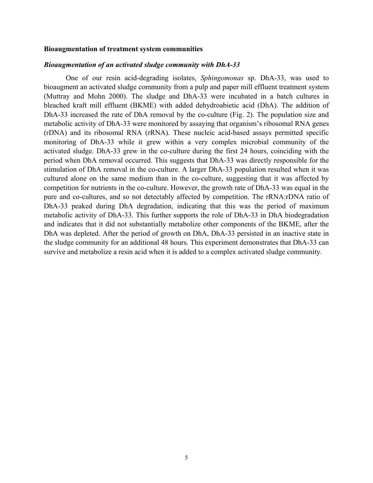#### **Bioaugmentation of treatment system communities**

#### *Bioaugmentation of an activated sludge community with DhA-33*

One of our resin acid-degrading isolates, *Sphingomonas* sp. DhA-33, was used to bioaugment an activated sludge community from a pulp and paper mill effluent treatment system (Muttray and Mohn 2000). The sludge and DhA-33 were incubated in a batch cultures in bleached kraft mill effluent (BKME) with added dehydroabietic acid (DhA). The addition of DhA-33 increased the rate of DhA removal by the co-culture (Fig. 2). The population size and metabolic activity of DhA-33 were monitored by assaying that organism's ribosomal RNA genes (rDNA) and its ribosomal RNA (rRNA). These nucleic acid-based assays permitted specific monitoring of DhA-33 while it grew within a very complex microbial community of the activated sludge. DhA-33 grew in the co-culture during the first 24 hours, coinciding with the period when DhA removal occurred. This suggests that DhA-33 was directly responsible for the stimulation of DhA removal in the co-culture. A larger DhA-33 population resulted when it was cultured alone on the same medium than in the co-culture, suggesting that it was affected by competition for nutrients in the co-culture. However, the growth rate of DhA-33 was equal in the pure and co-cultures, and so not detectably affected by competition. The rRNA:rDNA ratio of DhA-33 peaked during DhA degradation, indicating that this was the period of maximum metabolic activity of DhA-33. This further supports the role of DhA-33 in DhA biodegradation and indicates that it did not substantially metabolize other components of the BKME, after the DhA was depleted. After the period of growth on DhA, DhA-33 persisted in an inactive state in the sludge community for an additional 48 hours. This experiment demonstrates that DhA-33 can survive and metabolize a resin acid when it is added to a complex activated sludge community.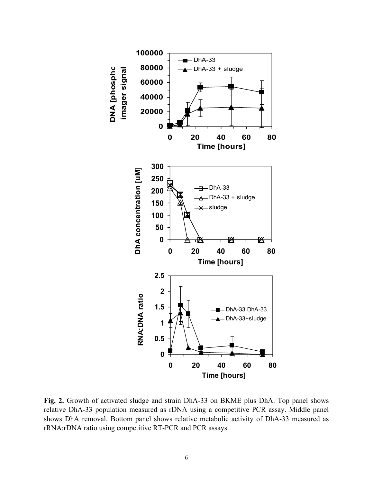

Fig. 2. Growth of activated sludge and strain DhA-33 on BKME plus DhA. Top panel shows relative DhA-33 population measured as rDNA using a competitive PCR assay. Middle panel shows DhA removal. Bottom panel shows relative metabolic activity of DhA-33 measured as rRNA:rDNA ratio using competitive RT-PCR and PCR assays.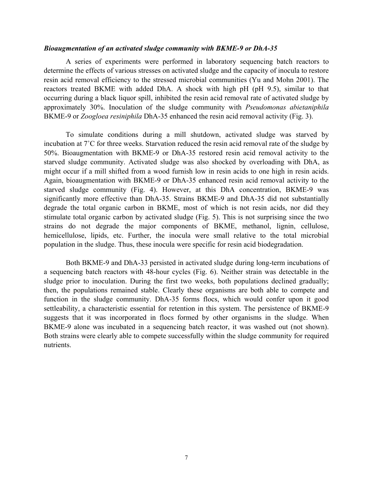#### *Bioaugmentation of an activated sludge community with BKME-9 or DhA-35*

A series of experiments were performed in laboratory sequencing batch reactors to determine the effects of various stresses on activated sludge and the capacity of inocula to restore resin acid removal efficiency to the stressed microbial communities (Yu and Mohn 2001). The reactors treated BKME with added DhA. A shock with high pH (pH 9.5), similar to that occurring during a black liquor spill, inhibited the resin acid removal rate of activated sludge by approximately 30%. Inoculation of the sludge community with *Pseudomonas abietaniphila*  BKME-9 or *Zoogloea resiniphila* DhA-35 enhanced the resin acid removal activity (Fig. 3).

To simulate conditions during a mill shutdown, activated sludge was starved by incubation at 7˚C for three weeks. Starvation reduced the resin acid removal rate of the sludge by 50%. Bioaugmentation with BKME-9 or DhA-35 restored resin acid removal activity to the starved sludge community. Activated sludge was also shocked by overloading with DhA, as might occur if a mill shifted from a wood furnish low in resin acids to one high in resin acids. Again, bioaugmentation with BKME-9 or DhA-35 enhanced resin acid removal activity to the starved sludge community (Fig. 4). However, at this DhA concentration, BKME-9 was significantly more effective than DhA-35. Strains BKME-9 and DhA-35 did not substantially degrade the total organic carbon in BKME, most of which is not resin acids, nor did they stimulate total organic carbon by activated sludge (Fig. 5). This is not surprising since the two strains do not degrade the major components of BKME, methanol, lignin, cellulose, hemicellulose, lipids, etc. Further, the inocula were small relative to the total microbial population in the sludge. Thus, these inocula were specific for resin acid biodegradation.

Both BKME-9 and DhA-33 persisted in activated sludge during long-term incubations of a sequencing batch reactors with 48-hour cycles (Fig. 6). Neither strain was detectable in the sludge prior to inoculation. During the first two weeks, both populations declined gradually; then, the populations remained stable. Clearly these organisms are both able to compete and function in the sludge community. DhA-35 forms flocs, which would confer upon it good settleability, a characteristic essential for retention in this system. The persistence of BKME-9 suggests that it was incorporated in flocs formed by other organisms in the sludge. When BKME-9 alone was incubated in a sequencing batch reactor, it was washed out (not shown). Both strains were clearly able to compete successfully within the sludge community for required nutrients.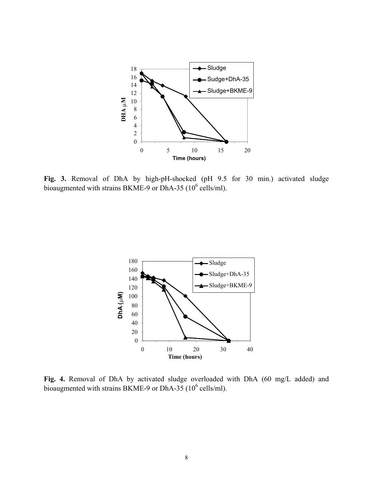

**Fig. 3.** Removal of DhA by high-pH-shocked (pH 9.5 for 30 min.) activated sludge bioaugmented with strains BKME-9 or DhA-35  $(10^6 \text{ cells/ml})$ .



**Fig. 4.** Removal of DhA by activated sludge overloaded with DhA (60 mg/L added) and bioaugmented with strains BKME-9 or DhA-35  $(10^6 \text{ cells/ml})$ .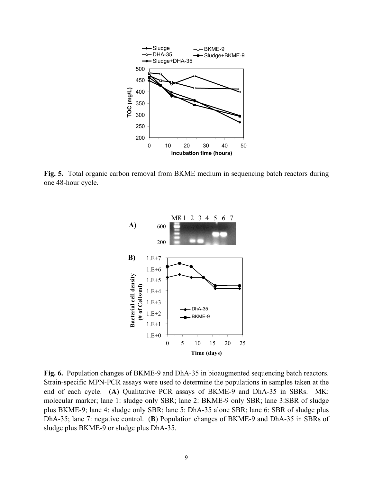

**Fig. 5.** Total organic carbon removal from BKME medium in sequencing batch reactors during one 48-hour cycle.



**Fig. 6.** Population changes of BKME-9 and DhA-35 in bioaugmented sequencing batch reactors. Strain-specific MPN-PCR assays were used to determine the populations in samples taken at the end of each cycle. (**A**) Qualitative PCR assays of BKME-9 and DhA-35 in SBRs. MK: molecular marker; lane 1: sludge only SBR; lane 2: BKME-9 only SBR; lane 3:SBR of sludge plus BKME-9; lane 4: sludge only SBR; lane 5: DhA-35 alone SBR; lane 6: SBR of sludge plus DhA-35; lane 7: negative control. (**B**) Population changes of BKME-9 and DhA-35 in SBRs of sludge plus BKME-9 or sludge plus DhA-35.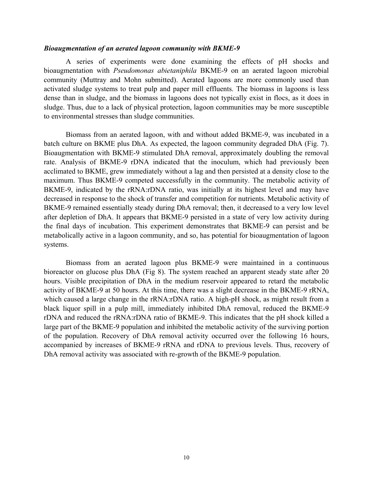#### *Bioaugmentation of an aerated lagoon community with BKME-9*

A series of experiments were done examining the effects of pH shocks and bioaugmentation with *Pseudomonas abietaniphila* BKME-9 on an aerated lagoon microbial community (Muttray and Mohn submitted). Aerated lagoons are more commonly used than activated sludge systems to treat pulp and paper mill effluents. The biomass in lagoons is less dense than in sludge, and the biomass in lagoons does not typically exist in flocs, as it does in sludge. Thus, due to a lack of physical protection, lagoon communities may be more susceptible to environmental stresses than sludge communities.

Biomass from an aerated lagoon, with and without added BKME-9, was incubated in a batch culture on BKME plus DhA. As expected, the lagoon community degraded DhA (Fig. 7). Bioaugmentation with BKME-9 stimulated DhA removal, approximately doubling the removal rate. Analysis of BKME-9 rDNA indicated that the inoculum, which had previously been acclimated to BKME, grew immediately without a lag and then persisted at a density close to the maximum. Thus BKME-9 competed successfully in the community. The metabolic activity of BKME-9, indicated by the rRNA:rDNA ratio, was initially at its highest level and may have decreased in response to the shock of transfer and competition for nutrients. Metabolic activity of BKME-9 remained essentially steady during DhA removal; then, it decreased to a very low level after depletion of DhA. It appears that BKME-9 persisted in a state of very low activity during the final days of incubation. This experiment demonstrates that BKME-9 can persist and be metabolically active in a lagoon community, and so, has potential for bioaugmentation of lagoon systems.

Biomass from an aerated lagoon plus BKME-9 were maintained in a continuous bioreactor on glucose plus DhA (Fig 8). The system reached an apparent steady state after 20 hours. Visible precipitation of DhA in the medium reservoir appeared to retard the metabolic activity of BKME-9 at 50 hours. At this time, there was a slight decrease in the BKME-9 rRNA, which caused a large change in the rRNA:rDNA ratio. A high-pH shock, as might result from a black liquor spill in a pulp mill, immediately inhibited DhA removal, reduced the BKME-9 rDNA and reduced the rRNA:rDNA ratio of BKME-9. This indicates that the pH shock killed a large part of the BKME-9 population and inhibited the metabolic activity of the surviving portion of the population. Recovery of DhA removal activity occurred over the following 16 hours, accompanied by increases of BKME-9 rRNA and rDNA to previous levels. Thus, recovery of DhA removal activity was associated with re-growth of the BKME-9 population.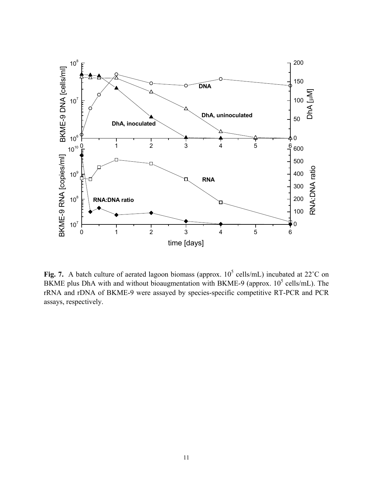

Fig. 7. A batch culture of aerated lagoon biomass (approx.  $10^5$  cells/mL) incubated at 22<sup>°</sup>C on BKME plus DhA with and without bioaugmentation with BKME-9 (approx.  $10^5$  cells/mL). The rRNA and rDNA of BKME-9 were assayed by species-specific competitive RT-PCR and PCR assays, respectively.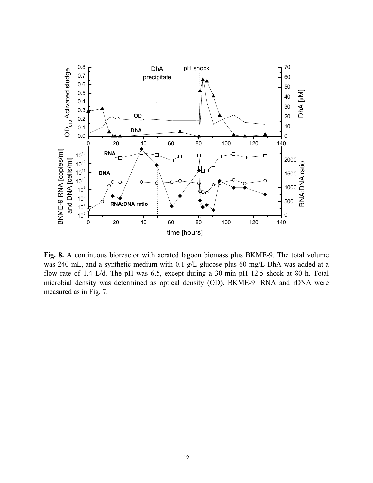

**Fig. 8.** A continuous bioreactor with aerated lagoon biomass plus BKME-9. The total volume was 240 mL, and a synthetic medium with 0.1 g/L glucose plus 60 mg/L DhA was added at a flow rate of 1.4 L/d. The pH was 6.5, except during a 30-min pH 12.5 shock at 80 h. Total microbial density was determined as optical density (OD). BKME-9 rRNA and rDNA were measured as in Fig. 7.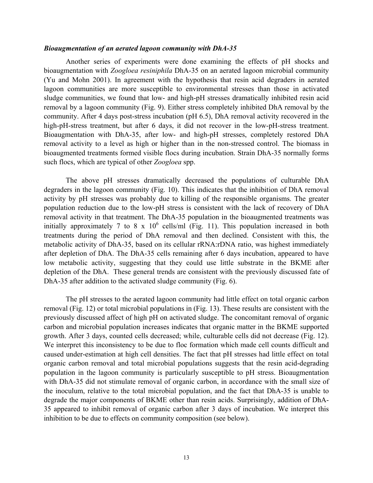#### *Bioaugmentation of an aerated lagoon community with DhA-35*

Another series of experiments were done examining the effects of pH shocks and bioaugmentation with *Zoogloea resiniphila* DhA-35 on an aerated lagoon microbial community (Yu and Mohn 2001). In agreement with the hypothesis that resin acid degraders in aerated lagoon communities are more susceptible to environmental stresses than those in activated sludge communities, we found that low- and high-pH stresses dramatically inhibited resin acid removal by a lagoon community (Fig. 9). Either stress completely inhibited DhA removal by the community. After 4 days post-stress incubation (pH 6.5), DhA removal activity recovered in the high-pH-stress treatment, but after 6 days, it did not recover in the low-pH-stress treatment. Bioaugmentation with DhA-35, after low- and high-pH stresses, completely restored DhA removal activity to a level as high or higher than in the non-stressed control. The biomass in bioaugmented treatments formed visible flocs during incubation. Strain DhA-35 normally forms such flocs, which are typical of other *Zoogloea* spp.

The above pH stresses dramatically decreased the populations of culturable DhA degraders in the lagoon community (Fig. 10). This indicates that the inhibition of DhA removal activity by pH stresses was probably due to killing of the responsible organisms. The greater population reduction due to the low-pH stress is consistent with the lack of recovery of DhA removal activity in that treatment. The DhA-35 population in the bioaugmented treatments was initially approximately 7 to 8 x  $10^6$  cells/ml (Fig. 11). This population increased in both treatments during the period of DhA removal and then declined. Consistent with this, the metabolic activity of DhA-35, based on its cellular rRNA:rDNA ratio, was highest immediately after depletion of DhA. The DhA-35 cells remaining after 6 days incubation, appeared to have low metabolic activity, suggesting that they could use little substrate in the BKME after depletion of the DhA. These general trends are consistent with the previously discussed fate of DhA-35 after addition to the activated sludge community (Fig. 6).

The pH stresses to the aerated lagoon community had little effect on total organic carbon removal (Fig. 12) or total microbial populations in (Fig. 13). These results are consistent with the previously discussed affect of high pH on activated sludge. The concomitant removal of organic carbon and microbial population increases indicates that organic matter in the BKME supported growth. After 3 days, counted cells decreased; while, culturable cells did not decrease (Fig. 12). We interpret this inconsistency to be due to floc formation which made cell counts difficult and caused under-estimation at high cell densities. The fact that pH stresses had little effect on total organic carbon removal and total microbial populations suggests that the resin acid-degrading population in the lagoon community is particularly susceptible to pH stress. Bioaugmentation with DhA-35 did not stimulate removal of organic carbon, in accordance with the small size of the inoculum, relative to the total microbial population, and the fact that DhA-35 is unable to degrade the major components of BKME other than resin acids. Surprisingly, addition of DhA-35 appeared to inhibit removal of organic carbon after 3 days of incubation. We interpret this inhibition to be due to effects on community composition (see below).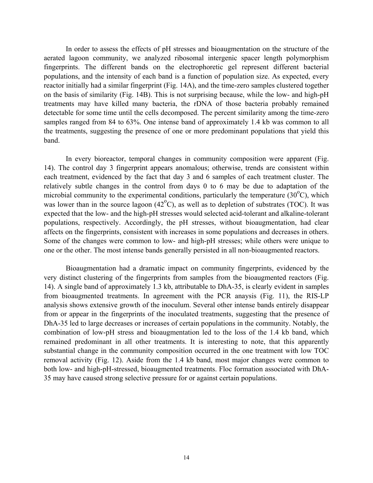In order to assess the effects of pH stresses and bioaugmentation on the structure of the aerated lagoon community, we analyzed ribosomal intergenic spacer length polymorphism fingerprints. The different bands on the electrophoretic gel represent different bacterial populations, and the intensity of each band is a function of population size. As expected, every reactor initially had a similar fingerprint (Fig. 14A), and the time-zero samples clustered together on the basis of similarity (Fig. 14B). This is not surprising because, while the low- and high-pH treatments may have killed many bacteria, the rDNA of those bacteria probably remained detectable for some time until the cells decomposed. The percent similarity among the time-zero samples ranged from 84 to 63%. One intense band of approximately 1.4 kb was common to all the treatments, suggesting the presence of one or more predominant populations that yield this band.

In every bioreactor, temporal changes in community composition were apparent (Fig. 14). The control day 3 fingerprint appears anomalous; otherwise, trends are consistent within each treatment, evidenced by the fact that day 3 and 6 samples of each treatment cluster. The relatively subtle changes in the control from days 0 to 6 may be due to adaptation of the microbial community to the experimental conditions, particularly the temperature  $(30^{\circ}$ C), which was lower than in the source lagoon  $(42^{\circ}C)$ , as well as to depletion of substrates (TOC). It was expected that the low- and the high-pH stresses would selected acid-tolerant and alkaline-tolerant populations, respectively. Accordingly, the pH stresses, without bioaugmentation, had clear affects on the fingerprints, consistent with increases in some populations and decreases in others. Some of the changes were common to low- and high-pH stresses; while others were unique to one or the other. The most intense bands generally persisted in all non-bioaugmented reactors.

Bioaugmentation had a dramatic impact on community fingerprints, evidenced by the very distinct clustering of the fingerprints from samples from the bioaugmented reactors (Fig. 14). A single band of approximately 1.3 kb, attributable to DhA-35, is clearly evident in samples from bioaugmented treatments. In agreement with the PCR anaysis (Fig. 11), the RIS-LP analysis shows extensive growth of the inoculum. Several other intense bands entirely disappear from or appear in the fingerprints of the inoculated treatments, suggesting that the presence of DhA-35 led to large decreases or increases of certain populations in the community. Notably, the combination of low-pH stress and bioaugmentation led to the loss of the 1.4 kb band, which remained predominant in all other treatments. It is interesting to note, that this apparently substantial change in the community composition occurred in the one treatment with low TOC removal activity (Fig. 12). Aside from the 1.4 kb band, most major changes were common to both low- and high-pH-stressed, bioaugmented treatments. Floc formation associated with DhA-35 may have caused strong selective pressure for or against certain populations.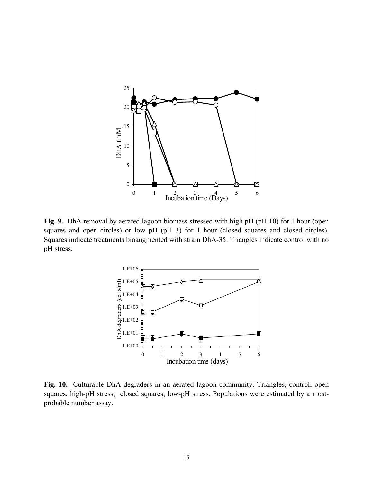

**Fig. 9.** DhA removal by aerated lagoon biomass stressed with high pH (pH 10) for 1 hour (open squares and open circles) or low pH (pH 3) for 1 hour (closed squares and closed circles). Squares indicate treatments bioaugmented with strain DhA-35. Triangles indicate control with no pH stress.



**Fig. 10.** Culturable DhA degraders in an aerated lagoon community. Triangles, control; open squares, high-pH stress; closed squares, low-pH stress. Populations were estimated by a mostprobable number assay.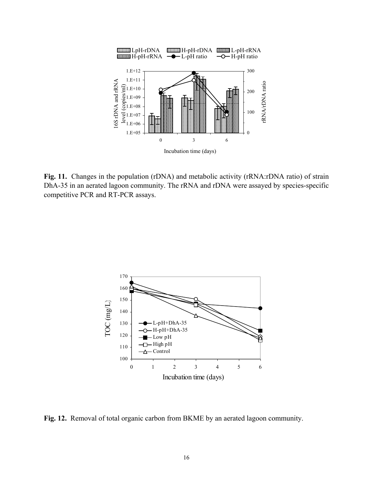

**Fig. 11.** Changes in the population (rDNA) and metabolic activity (rRNA:rDNA ratio) of strain DhA-35 in an aerated lagoon community. The rRNA and rDNA were assayed by species-specific competitive PCR and RT-PCR assays.



**Fig. 12.** Removal of total organic carbon from BKME by an aerated lagoon community.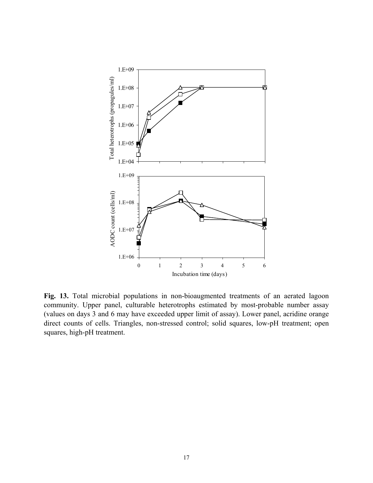

**Fig. 13.** Total microbial populations in non-bioaugmented treatments of an aerated lagoon community. Upper panel, culturable heterotrophs estimated by most-probable number assay (values on days 3 and 6 may have exceeded upper limit of assay). Lower panel, acridine orange direct counts of cells. Triangles, non-stressed control; solid squares, low-pH treatment; open squares, high-pH treatment.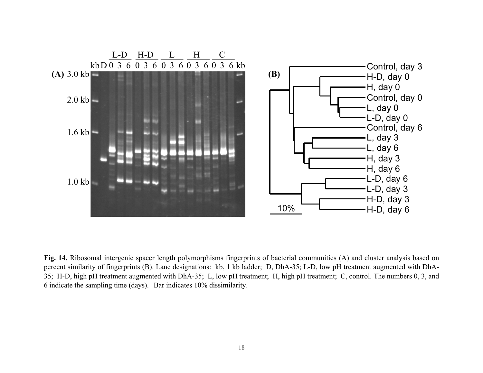

**Fig. 14.** Ribosomal intergenic spacer length polymorphisms fingerprints of bacterial communities (A) and cluster analysis based on percent similarity of fingerprints (B). Lane designations: kb, 1 kb ladder; D, DhA-35; L-D, low pH treatment augmented with DhA-35; H-D, high pH treatment augmented with DhA-35; L, low pH treatment; H, high pH treatment; C, control. The numbers 0, 3, and 6 indicate the sampling time (days). Bar indicates 10% dissimilarity.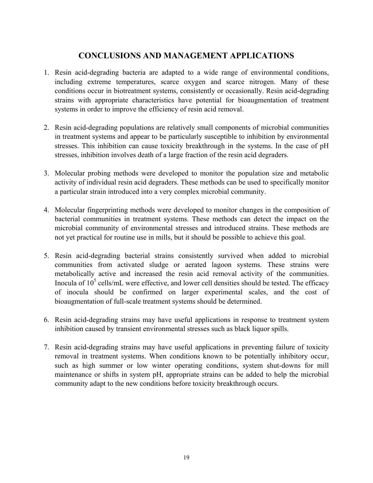## **CONCLUSIONS AND MANAGEMENT APPLICATIONS**

- 1. Resin acid-degrading bacteria are adapted to a wide range of environmental conditions, including extreme temperatures, scarce oxygen and scarce nitrogen. Many of these conditions occur in biotreatment systems, consistently or occasionally. Resin acid-degrading strains with appropriate characteristics have potential for bioaugmentation of treatment systems in order to improve the efficiency of resin acid removal.
- 2. Resin acid-degrading populations are relatively small components of microbial communities in treatment systems and appear to be particularly susceptible to inhibition by environmental stresses. This inhibition can cause toxicity breakthrough in the systems. In the case of pH stresses, inhibition involves death of a large fraction of the resin acid degraders.
- 3. Molecular probing methods were developed to monitor the population size and metabolic activity of individual resin acid degraders. These methods can be used to specifically monitor a particular strain introduced into a very complex microbial community.
- 4. Molecular fingerprinting methods were developed to monitor changes in the composition of bacterial communities in treatment systems. These methods can detect the impact on the microbial community of environmental stresses and introduced strains. These methods are not yet practical for routine use in mills, but it should be possible to achieve this goal.
- 5. Resin acid-degrading bacterial strains consistently survived when added to microbial communities from activated sludge or aerated lagoon systems. These strains were metabolically active and increased the resin acid removal activity of the communities. Inocula of  $10^5$  cells/mL were effective, and lower cell densities should be tested. The efficacy of inocula should be confirmed on larger experimental scales, and the cost of bioaugmentation of full-scale treatment systems should be determined.
- 6. Resin acid-degrading strains may have useful applications in response to treatment system inhibition caused by transient environmental stresses such as black liquor spills.
- 7. Resin acid-degrading strains may have useful applications in preventing failure of toxicity removal in treatment systems. When conditions known to be potentially inhibitory occur, such as high summer or low winter operating conditions, system shut-downs for mill maintenance or shifts in system pH, appropriate strains can be added to help the microbial community adapt to the new conditions before toxicity breakthrough occurs.